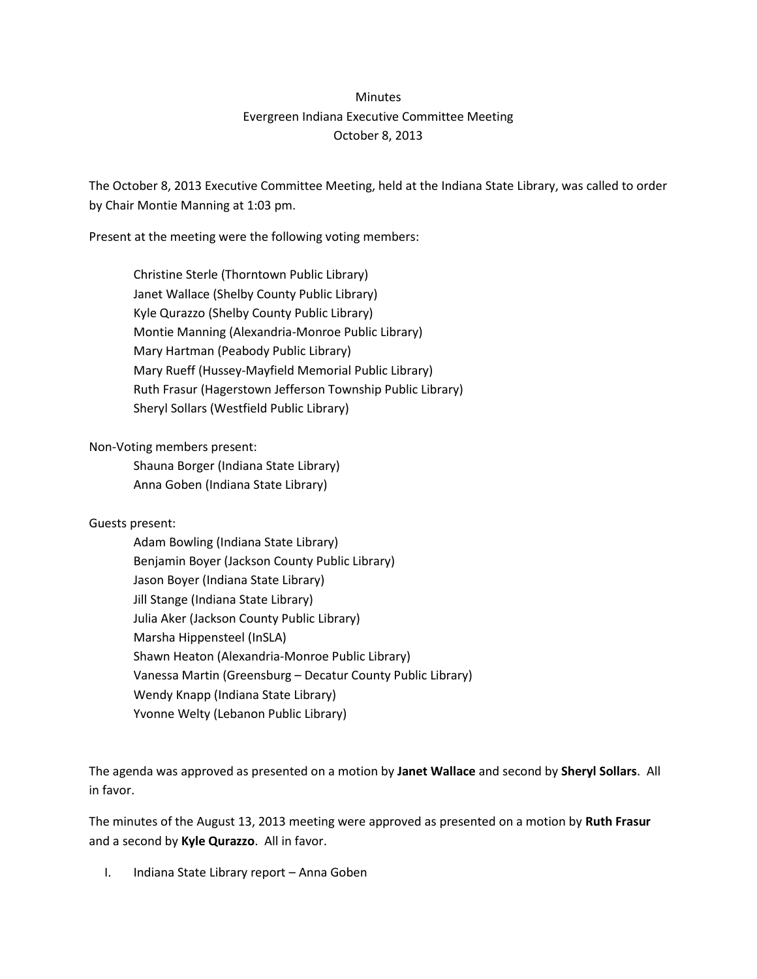## **Minutes** Evergreen Indiana Executive Committee Meeting October 8, 2013

The October 8, 2013 Executive Committee Meeting, held at the Indiana State Library, was called to order by Chair Montie Manning at 1:03 pm.

Present at the meeting were the following voting members:

Christine Sterle (Thorntown Public Library) Janet Wallace (Shelby County Public Library) Kyle Qurazzo (Shelby County Public Library) Montie Manning (Alexandria-Monroe Public Library) Mary Hartman (Peabody Public Library) Mary Rueff (Hussey-Mayfield Memorial Public Library) Ruth Frasur (Hagerstown Jefferson Township Public Library) Sheryl Sollars (Westfield Public Library)

Non-Voting members present:

Shauna Borger (Indiana State Library) Anna Goben (Indiana State Library)

## Guests present:

Adam Bowling (Indiana State Library) Benjamin Boyer (Jackson County Public Library) Jason Boyer (Indiana State Library) Jill Stange (Indiana State Library) Julia Aker (Jackson County Public Library) Marsha Hippensteel (InSLA) Shawn Heaton (Alexandria-Monroe Public Library) Vanessa Martin (Greensburg – Decatur County Public Library) Wendy Knapp (Indiana State Library) Yvonne Welty (Lebanon Public Library)

The agenda was approved as presented on a motion by **Janet Wallace** and second by **Sheryl Sollars**. All in favor.

The minutes of the August 13, 2013 meeting were approved as presented on a motion by **Ruth Frasur** and a second by **Kyle Qurazzo**. All in favor.

I. Indiana State Library report – Anna Goben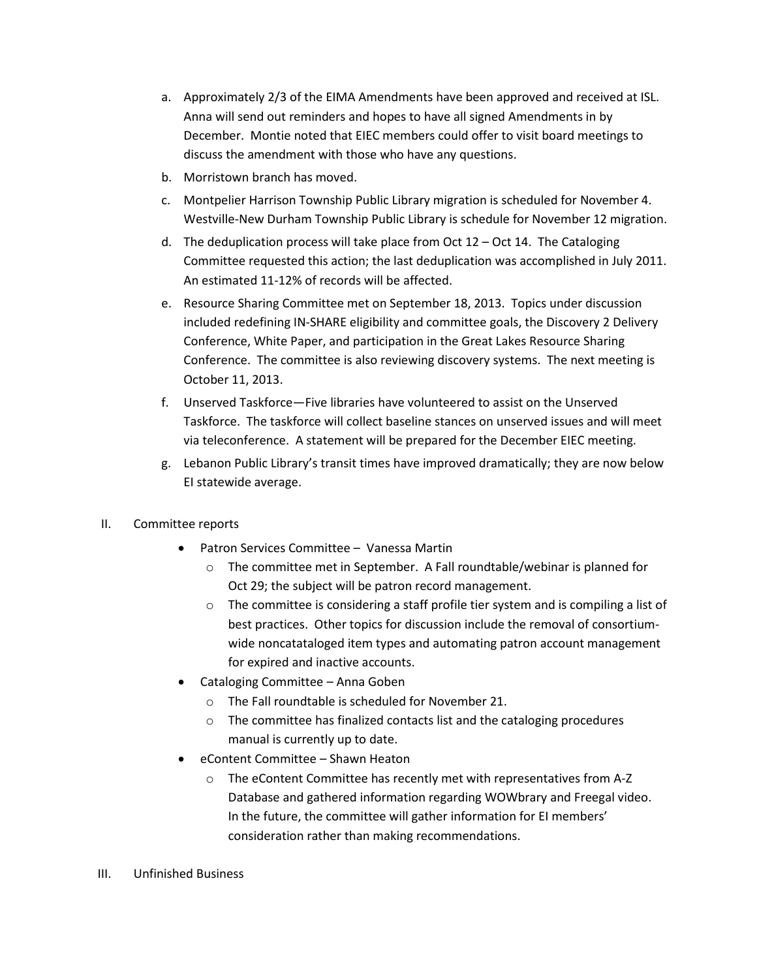- a. Approximately 2/3 of the EIMA Amendments have been approved and received at ISL. Anna will send out reminders and hopes to have all signed Amendments in by December. Montie noted that EIEC members could offer to visit board meetings to discuss the amendment with those who have any questions.
- b. Morristown branch has moved.
- c. Montpelier Harrison Township Public Library migration is scheduled for November 4. Westville-New Durham Township Public Library is schedule for November 12 migration.
- d. The deduplication process will take place from Oct  $12 Oct$  14. The Cataloging Committee requested this action; the last deduplication was accomplished in July 2011. An estimated 11-12% of records will be affected.
- e. Resource Sharing Committee met on September 18, 2013. Topics under discussion included redefining IN-SHARE eligibility and committee goals, the Discovery 2 Delivery Conference, White Paper, and participation in the Great Lakes Resource Sharing Conference. The committee is also reviewing discovery systems. The next meeting is October 11, 2013.
- f. Unserved Taskforce—Five libraries have volunteered to assist on the Unserved Taskforce. The taskforce will collect baseline stances on unserved issues and will meet via teleconference. A statement will be prepared for the December EIEC meeting.
- g. Lebanon Public Library's transit times have improved dramatically; they are now below EI statewide average.
- II. Committee reports
	- Patron Services Committee Vanessa Martin
		- o The committee met in September. A Fall roundtable/webinar is planned for Oct 29; the subject will be patron record management.
		- o The committee is considering a staff profile tier system and is compiling a list of best practices. Other topics for discussion include the removal of consortiumwide noncatataloged item types and automating patron account management for expired and inactive accounts.
	- Cataloging Committee Anna Goben
		- o The Fall roundtable is scheduled for November 21.
		- o The committee has finalized contacts list and the cataloging procedures manual is currently up to date.
	- eContent Committee Shawn Heaton
		- o The eContent Committee has recently met with representatives from A-Z Database and gathered information regarding WOWbrary and Freegal video. In the future, the committee will gather information for EI members' consideration rather than making recommendations.
- III. Unfinished Business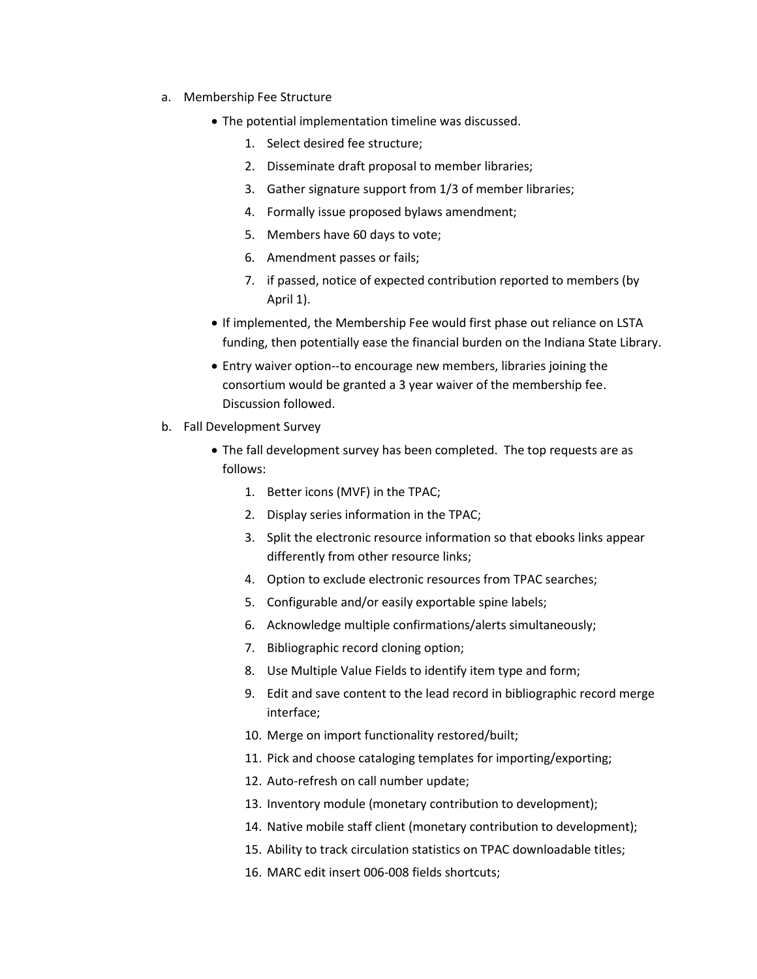- a. Membership Fee Structure
	- The potential implementation timeline was discussed.
		- 1. Select desired fee structure;
		- 2. Disseminate draft proposal to member libraries;
		- 3. Gather signature support from 1/3 of member libraries;
		- 4. Formally issue proposed bylaws amendment;
		- 5. Members have 60 days to vote;
		- 6. Amendment passes or fails;
		- 7. if passed, notice of expected contribution reported to members (by April 1).
	- If implemented, the Membership Fee would first phase out reliance on LSTA funding, then potentially ease the financial burden on the Indiana State Library.
	- Entry waiver option--to encourage new members, libraries joining the consortium would be granted a 3 year waiver of the membership fee. Discussion followed.
- b. Fall Development Survey
	- The fall development survey has been completed. The top requests are as follows:
		- 1. Better icons (MVF) in the TPAC;
		- 2. Display series information in the TPAC;
		- 3. Split the electronic resource information so that ebooks links appear differently from other resource links;
		- 4. Option to exclude electronic resources from TPAC searches;
		- 5. Configurable and/or easily exportable spine labels;
		- 6. Acknowledge multiple confirmations/alerts simultaneously;
		- 7. Bibliographic record cloning option;
		- 8. Use Multiple Value Fields to identify item type and form;
		- 9. Edit and save content to the lead record in bibliographic record merge interface;
		- 10. Merge on import functionality restored/built;
		- 11. Pick and choose cataloging templates for importing/exporting;
		- 12. Auto-refresh on call number update;
		- 13. Inventory module (monetary contribution to development);
		- 14. Native mobile staff client (monetary contribution to development);
		- 15. Ability to track circulation statistics on TPAC downloadable titles;
		- 16. MARC edit insert 006-008 fields shortcuts;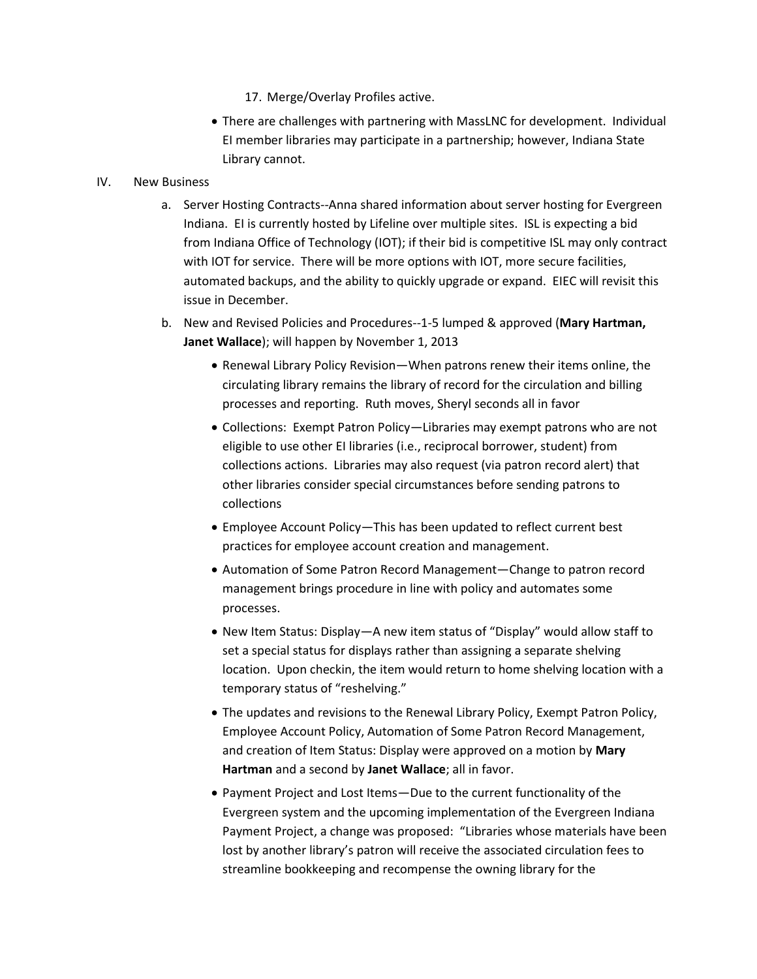- 17. Merge/Overlay Profiles active.
- There are challenges with partnering with MassLNC for development. Individual EI member libraries may participate in a partnership; however, Indiana State Library cannot.

## IV. New Business

- a. Server Hosting Contracts--Anna shared information about server hosting for Evergreen Indiana. EI is currently hosted by Lifeline over multiple sites. ISL is expecting a bid from Indiana Office of Technology (IOT); if their bid is competitive ISL may only contract with IOT for service. There will be more options with IOT, more secure facilities, automated backups, and the ability to quickly upgrade or expand. EIEC will revisit this issue in December.
- b. New and Revised Policies and Procedures--1-5 lumped & approved (**Mary Hartman, Janet Wallace**); will happen by November 1, 2013
	- Renewal Library Policy Revision—When patrons renew their items online, the circulating library remains the library of record for the circulation and billing processes and reporting. Ruth moves, Sheryl seconds all in favor
	- Collections: Exempt Patron Policy—Libraries may exempt patrons who are not eligible to use other EI libraries (i.e., reciprocal borrower, student) from collections actions. Libraries may also request (via patron record alert) that other libraries consider special circumstances before sending patrons to collections
	- Employee Account Policy—This has been updated to reflect current best practices for employee account creation and management.
	- Automation of Some Patron Record Management—Change to patron record management brings procedure in line with policy and automates some processes.
	- New Item Status: Display—A new item status of "Display" would allow staff to set a special status for displays rather than assigning a separate shelving location. Upon checkin, the item would return to home shelving location with a temporary status of "reshelving."
	- The updates and revisions to the Renewal Library Policy, Exempt Patron Policy, Employee Account Policy, Automation of Some Patron Record Management, and creation of Item Status: Display were approved on a motion by **Mary Hartman** and a second by **Janet Wallace**; all in favor.
	- Payment Project and Lost Items—Due to the current functionality of the Evergreen system and the upcoming implementation of the Evergreen Indiana Payment Project, a change was proposed: "Libraries whose materials have been lost by another library's patron will receive the associated circulation fees to streamline bookkeeping and recompense the owning library for the